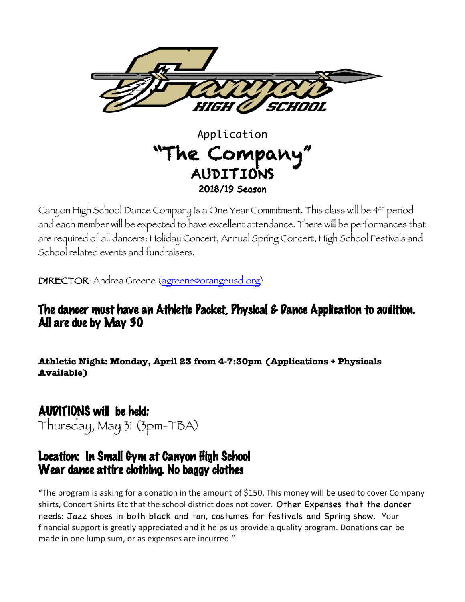

# Application "The Company" AUDITIONS 2018/19 Season

Canyon High School Dance Company Is a One Year Commitment. This class will be 4th period and each member will be expected to have excellent attendance. There will be performances that are required of all dancers: Holiday Concert, Annual Spring Concert, High School Festivals and School related events and fundraisers.

DIRECTOR: Andrea Greene (agreene@orangeusd.org)

## The dancer must have an Athletic Packet, Physical & Dance Application to audition. All are due by May 30

**Athletic Night: Monday, April 23 from 4-7:30pm (Applications + Physicals Available)**

# AUDITIONS will be held:

Thursday, May 31 (3pm-TBA)

## Location: In Small Gym at Canyon High School Wear dance attire clothing. No baggy clothes

"The program is asking for a donation in the amount of \$150. This money will be used to cover Company shirts, Concert Shirts Etc that the school district does not cover. Other Expenses that the dancer needs: Jazz shoes in both black and tan, costumes for festivals and Spring show. Your financial support is greatly appreciated and it helps us provide a quality program. Donations can be made in one lump sum, or as expenses are incurred."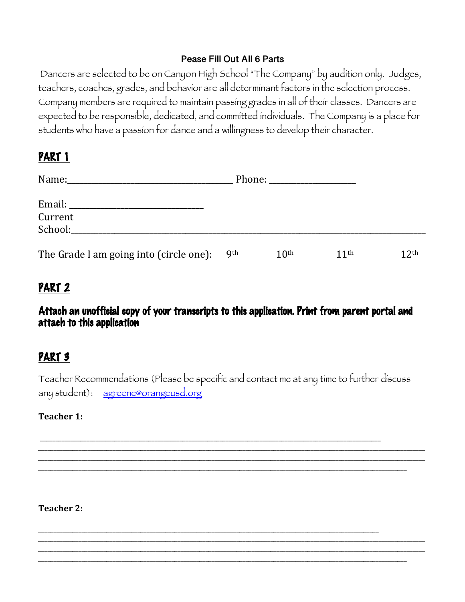#### **Pease Fill Out All 6 Parts**

Dancers are selected to be on Canyon High School "The Company" by audition only. Judges, teachers, coaches, grades, and behavior are all determinant factors in the selection process. Company members are required to maintain passing grades in all of their classes. Dancers are expected to be responsible, dedicated, and committed individuals. The Company is a place for students who have a passion for dance and a willingness to develop their character.

## PART 1

| Name:<br><u> 1980 - Jan Barat, Amerikaansk politiker (</u> |            |                  |                  |                  |
|------------------------------------------------------------|------------|------------------|------------------|------------------|
| Email: ________________________                            |            |                  |                  |                  |
| Current                                                    |            |                  |                  |                  |
| School:                                                    |            |                  |                  |                  |
| The Grade I am going into (circle one):                    | <b>9th</b> | 10 <sup>th</sup> | 11 <sup>th</sup> | 12 <sup>th</sup> |

## PART 2

#### Attach an unofficial copy of your transcripts to this application. Print from parent portal and attach to this application

## PART 3

Teacher Recommendations (Please be specific and contact me at any time to further discuss any student): agreene@orangeusd.org

\_\_\_\_\_\_\_\_\_\_\_\_\_\_\_\_\_\_\_\_\_\_\_\_\_\_\_\_\_\_\_\_\_\_\_\_\_\_\_\_\_\_\_\_\_\_\_\_\_\_\_\_\_\_\_\_\_\_\_\_\_\_\_\_\_\_\_\_\_\_\_\_\_\_\_\_\_\_\_\_\_\_\_\_\_\_\_\_\_\_\_\_\_\_\_\_\_\_\_\_\_\_\_\_\_\_\_\_\_\_\_\_\_\_\_\_\_\_\_\_\_\_\_\_\_ \_\_\_\_\_\_\_\_\_\_\_\_\_\_\_\_\_\_\_\_\_\_\_\_\_\_\_\_\_\_\_\_\_\_\_\_\_\_\_\_\_\_\_\_\_\_\_\_\_\_\_\_\_\_\_\_\_\_\_\_\_\_\_\_\_\_\_\_\_\_\_\_\_\_\_\_\_\_\_\_\_\_\_\_\_\_\_\_\_\_\_\_\_\_\_\_\_\_\_\_\_\_\_\_\_\_\_\_\_\_\_\_\_\_\_\_\_\_\_\_\_\_\_\_\_ \_\_\_\_\_\_\_\_\_\_\_\_\_\_\_\_\_\_\_\_\_\_\_\_\_\_\_\_\_\_\_\_\_\_\_\_\_\_\_\_\_\_\_\_\_\_\_\_\_\_\_\_\_\_\_\_\_\_\_\_\_\_\_\_\_\_\_\_\_\_\_\_\_\_\_\_\_\_\_\_\_\_\_\_\_\_\_\_\_\_\_\_\_\_\_\_\_\_\_\_\_\_\_\_\_\_\_\_\_\_\_\_\_\_\_\_\_\_\_

\_\_\_\_\_\_\_\_\_\_\_\_\_\_\_\_\_\_\_\_\_\_\_\_\_\_\_\_\_\_\_\_\_\_\_\_\_\_\_\_\_\_\_\_\_\_\_\_\_\_\_\_\_\_\_\_\_\_\_\_\_\_\_\_\_\_\_\_\_\_\_\_\_\_\_\_\_\_\_\_\_\_\_\_\_\_\_\_\_\_\_\_\_\_\_\_\_\_\_\_\_\_\_\_\_\_\_\_\_\_\_\_\_\_\_\_\_\_\_\_\_\_\_\_\_ \_\_\_\_\_\_\_\_\_\_\_\_\_\_\_\_\_\_\_\_\_\_\_\_\_\_\_\_\_\_\_\_\_\_\_\_\_\_\_\_\_\_\_\_\_\_\_\_\_\_\_\_\_\_\_\_\_\_\_\_\_\_\_\_\_\_\_\_\_\_\_\_\_\_\_\_\_\_\_\_\_\_\_\_\_\_\_\_\_\_\_\_\_\_\_\_\_\_\_\_\_\_\_\_\_\_\_\_\_\_\_\_\_\_\_\_\_\_\_\_\_\_\_\_\_ \_\_\_\_\_\_\_\_\_\_\_\_\_\_\_\_\_\_\_\_\_\_\_\_\_\_\_\_\_\_\_\_\_\_\_\_\_\_\_\_\_\_\_\_\_\_\_\_\_\_\_\_\_\_\_\_\_\_\_\_\_\_\_\_\_\_\_\_\_\_\_\_\_\_\_\_\_\_\_\_\_\_\_\_\_\_\_\_\_\_\_\_\_\_\_\_\_\_\_\_\_\_\_\_\_\_\_\_\_\_\_\_\_\_\_\_\_\_\_

\_\_\_\_\_\_\_\_\_\_\_\_\_\_\_\_\_\_\_\_\_\_\_\_\_\_\_\_\_\_\_\_\_\_\_\_\_\_\_\_\_\_\_\_\_\_\_\_\_\_\_\_\_\_\_\_\_\_\_\_\_\_\_\_\_\_\_\_\_\_\_\_\_\_\_\_\_\_\_\_\_\_\_\_\_\_\_\_\_\_\_\_\_\_\_\_\_\_\_\_\_\_\_\_\_\_\_\_\_\_

\_\_\_\_\_\_\_\_\_\_\_\_\_\_\_\_\_\_\_\_\_\_\_\_\_\_\_\_\_\_\_\_\_\_\_\_\_\_\_\_\_\_\_\_\_\_\_\_\_\_\_\_\_\_\_\_\_\_\_\_\_\_\_\_\_\_\_\_\_\_\_\_\_\_\_\_\_\_\_\_\_\_\_\_\_\_\_\_\_\_\_\_\_\_\_\_\_\_\_\_\_\_\_\_\_\_\_\_\_\_

#### **Teacher 1:**

**Teacher 2:**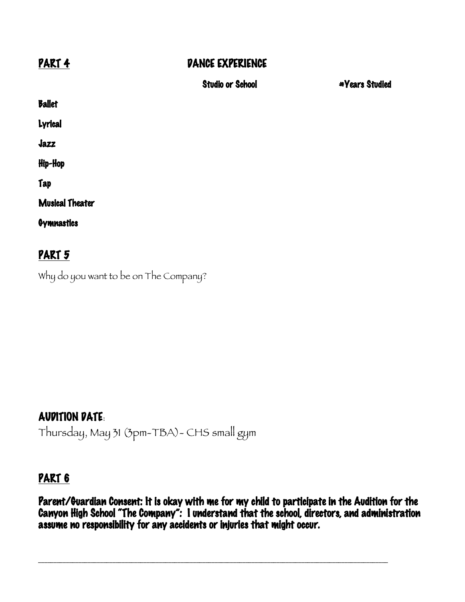### PART 4 DANCE EXPERIENCE

|                        | <b>Studio or School</b> | <b>*Years Studied</b> |
|------------------------|-------------------------|-----------------------|
| <b>Ballet</b>          |                         |                       |
| Lyrical                |                         |                       |
| Jazz                   |                         |                       |
| Hip-Hop                |                         |                       |
| Tap                    |                         |                       |
| <b>Musical Theater</b> |                         |                       |
| <b>Gymnastics</b>      |                         |                       |
| PART 5                 |                         |                       |

Why do you want to be on The Company?

## AUDITION DATE:

Thursday, May 31 (3pm-TBA)- CHS small gym

## PART 6

Parent/Guardian Consent: It is okay with me for my child to participate in the Audition for the Canyon High School "The Company": I understand that the school, directors, and administration assume no responsibility for any accidents or injuries that might occur.

\_\_\_\_\_\_\_\_\_\_\_\_\_\_\_\_\_\_\_\_\_\_\_\_\_\_\_\_\_\_\_\_\_\_\_\_\_\_\_\_\_\_\_\_\_\_\_\_\_\_\_\_\_\_\_\_\_\_\_\_\_\_\_\_\_\_\_\_\_\_\_\_\_\_\_\_\_\_\_\_\_\_\_\_\_\_\_\_\_\_\_\_\_\_\_\_\_\_\_\_\_\_\_\_\_\_\_\_\_\_\_\_\_